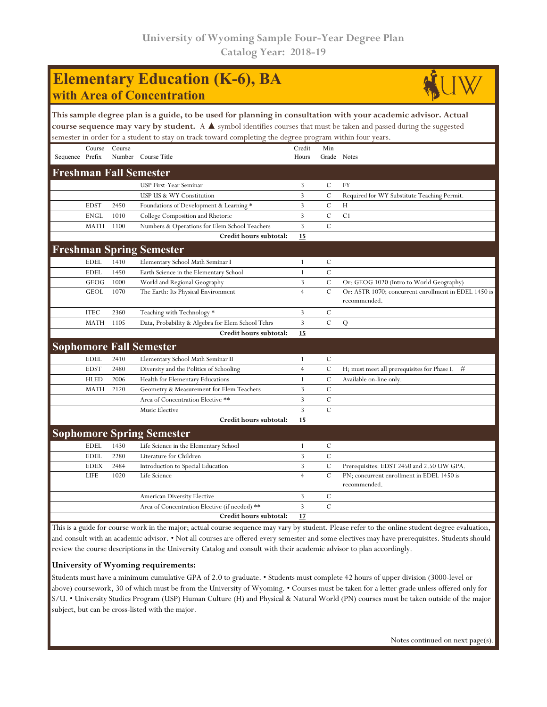## **Elementary Education (K-6), BA with Area of Concentration**



**This sample degree plan is a guide, to be used for planning in consultation with your academic advisor. Actual course sequence may vary by student.** A ▲ symbol identifies courses that must be taken and passed during the suggested semester in order for a student to stay on track toward completing the degree program within four years.

|                               | Course      | Course |                                                   | Credit         | Min           |                                                           |  |  |
|-------------------------------|-------------|--------|---------------------------------------------------|----------------|---------------|-----------------------------------------------------------|--|--|
| Sequence Prefix               |             |        | Number Course Title                               | Hours          |               | Grade Notes                                               |  |  |
| <b>Freshman Fall Semester</b> |             |        |                                                   |                |               |                                                           |  |  |
|                               |             |        | <b>USP First-Year Seminar</b>                     | 3              | $\mathcal{C}$ | <b>FY</b>                                                 |  |  |
|                               |             |        | USP US & WY Constitution                          | 3              | $\mathcal{C}$ | Required for WY Substitute Teaching Permit.               |  |  |
|                               | <b>EDST</b> | 2450   | Foundations of Development & Learning *           | 3              | $\mathbf C$   | H                                                         |  |  |
|                               | <b>ENGL</b> | 1010   | College Composition and Rhetoric                  | 3              | $\mathbf C$   | C1                                                        |  |  |
|                               | <b>MATH</b> | 1100   | Numbers & Operations for Elem School Teachers     | 3              | $\mathbf C$   |                                                           |  |  |
|                               |             |        | Credit hours subtotal:                            | 15             |               |                                                           |  |  |
|                               |             |        | <b>Freshman Spring Semester</b>                   |                |               |                                                           |  |  |
|                               | <b>EDEL</b> | 1410   | Elementary School Math Seminar I                  | 1              | $\mathbf C$   |                                                           |  |  |
|                               | <b>EDEL</b> | 1450   | Earth Science in the Elementary School            | 1              | $\mathbf C$   |                                                           |  |  |
|                               | GEOG        | 1000   | World and Regional Geography                      | 3              | $\mathbf C$   | Or: GEOG 1020 (Intro to World Geography)                  |  |  |
|                               | <b>GEOL</b> | 1070   | The Earth: Its Physical Environment               | $\overline{4}$ | $\mathcal{C}$ | Or: ASTR 1070; concurrent enrollment in EDEL 1450 is      |  |  |
|                               |             |        |                                                   |                |               | recommended.                                              |  |  |
|                               | <b>ITEC</b> | 2360   | Teaching with Technology *                        | 3              | $\mathcal{C}$ |                                                           |  |  |
|                               | <b>MATH</b> | 1105   | Data, Probability & Algebra for Elem School Tchrs | 3              | $\mathbf C$   | Q                                                         |  |  |
|                               |             |        | Credit hours subtotal:                            | 15             |               |                                                           |  |  |
|                               |             |        | <b>Sophomore Fall Semester</b>                    |                |               |                                                           |  |  |
|                               | <b>EDEL</b> | 2410   | Elementary School Math Seminar II                 | 1              | $\cal C$      |                                                           |  |  |
|                               | <b>EDST</b> | 2480   | Diversity and the Politics of Schooling           | $\overline{4}$ | $\mathcal{C}$ | H; must meet all prerequisites for Phase I.<br>#          |  |  |
|                               | <b>HLED</b> | 2006   | Health for Elementary Educations                  | $\mathbf{1}$   | $\mathbf C$   | Available on-line only.                                   |  |  |
|                               | <b>MATH</b> | 2120   | Geometry & Measurement for Elem Teachers          | 3              | $\mathcal{C}$ |                                                           |  |  |
|                               |             |        | Area of Concentration Elective **                 | 3              | $\mathcal{C}$ |                                                           |  |  |
|                               |             |        | Music Elective                                    | 3              | $\mathbf C$   |                                                           |  |  |
|                               |             |        | Credit hours subtotal:                            | 15             |               |                                                           |  |  |
|                               |             |        | <b>Sophomore Spring Semester</b>                  |                |               |                                                           |  |  |
|                               | <b>EDEL</b> | 1430   | Life Science in the Elementary School             | 1              | $\mathcal{C}$ |                                                           |  |  |
|                               | <b>EDEL</b> | 2280   | Literature for Children                           | 3              | $\mathbf C$   |                                                           |  |  |
|                               | <b>EDEX</b> | 2484   | Introduction to Special Education                 | 3              | $\cal C$      | Prerequisites: EDST 2450 and 2.50 UW GPA.                 |  |  |
|                               | <b>LIFE</b> | 1020   | Life Science                                      | $\overline{4}$ | $\mathcal{C}$ | PN; concurrent enrollment in EDEL 1450 is<br>recommended. |  |  |
|                               |             |        | American Diversity Elective                       | 3              | $\mathcal{C}$ |                                                           |  |  |
|                               |             |        | Area of Concentration Elective (if needed) **     | 3              | $\mathcal{C}$ |                                                           |  |  |
|                               |             |        | Credit hours subtotal:                            | 17             |               |                                                           |  |  |

This is a guide for course work in the major; actual course sequence may vary by student. Please refer to the online student degree evaluation, and consult with an academic advisor. • Not all courses are offered every semester and some electives may have prerequisites. Students should review the course descriptions in the University Catalog and consult with their academic advisor to plan accordingly.

### **University of Wyoming requirements:**

Students must have a minimum cumulative GPA of 2.0 to graduate. • Students must complete 42 hours of upper division (3000-level or above) coursework, 30 of which must be from the University of Wyoming. • Courses must be taken for a letter grade unless offered only for S/U. • University Studies Program (USP) Human Culture (H) and Physical & Natural World (PN) courses must be taken outside of the major subject, but can be cross-listed with the major.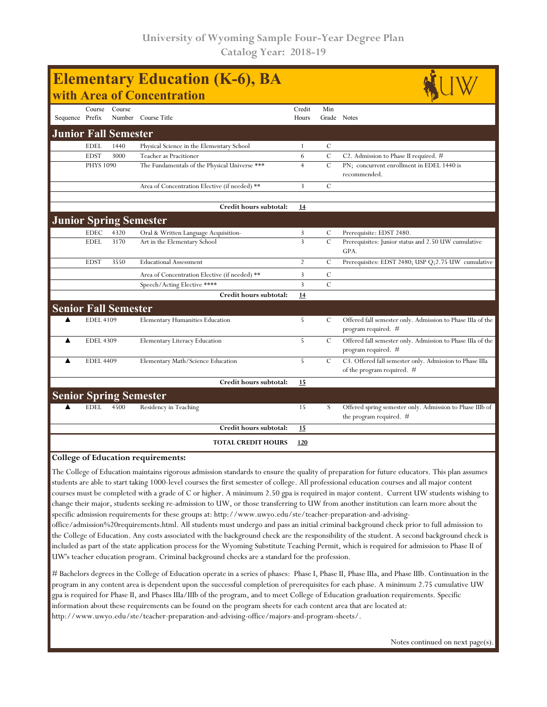| Course<br>Course<br>Credit<br>Min<br>Sequence Prefix<br>Number Course Title<br>Grade Notes<br>Hours<br><b>Junior Fall Semester</b><br><b>EDEL</b><br>1440<br>Physical Science in the Elementary School<br>C<br>1<br>$\mathcal{C}$<br><b>EDST</b><br>3000<br>6<br>C2. Admission to Phase II required. #<br>Teacher as Pracitioner<br>$\mathcal{C}$<br>$\overline{4}$<br><b>PHYS 1090</b><br>The Fundamentals of the Physical Universe ***<br>PN; concurrent enrollment in EDEL 1440 is<br>recommended.<br>$\mathbf C$<br>3<br>Area of Concentration Elective (if needed) **<br>Credit hours subtotal:<br>14<br><b>Junior Spring Semester</b><br><b>EDEC</b><br>4320<br>Oral & Written Language Acquisition-<br>3<br>С<br>Prerequisite: EDST 2480.<br>$\overline{3}$<br>$\cal C$<br>3170<br><b>EDEL</b><br>Prerequisites: Junior status and 2.50 UW cumulative<br>Art in the Elementary School<br>GPA.<br>3550<br>$\overline{2}$<br>$\mathcal{C}$<br><b>EDST</b><br><b>Educational Assessment</b><br>3<br>С<br>Area of Concentration Elective (if needed) **<br>$\overline{3}$<br>$\overline{C}$<br>Speech/Acting Elective ****<br>Credit hours subtotal:<br>14<br><b>Senior Fall Semester</b><br>5<br>$\cal C$<br><b>EDEL 4109</b><br><b>Elementary Humanities Education</b><br>program required. #<br><b>EDEL 4309</b><br>5<br>С<br>▲<br>Elementary Literacy Education<br>program required. #<br>5<br>$\mathbf C$<br><b>EDEL 4409</b><br>Elementary Math/Science Education<br>of the program required. #<br>Credit hours subtotal:<br>15<br><b>Senior Spring Semester</b><br><b>EDEL</b><br>4500<br>Residency in Teaching<br>15<br>S<br>the program required. $#$<br>Credit hours subtotal:<br>15<br><b>TOTAL CREDIT HOURS</b><br>120 | <b>Elementary Education (K-6), BA</b><br>with Area of Concentration |  |  |  |  |  |                                                            |  |  |  |
|---------------------------------------------------------------------------------------------------------------------------------------------------------------------------------------------------------------------------------------------------------------------------------------------------------------------------------------------------------------------------------------------------------------------------------------------------------------------------------------------------------------------------------------------------------------------------------------------------------------------------------------------------------------------------------------------------------------------------------------------------------------------------------------------------------------------------------------------------------------------------------------------------------------------------------------------------------------------------------------------------------------------------------------------------------------------------------------------------------------------------------------------------------------------------------------------------------------------------------------------------------------------------------------------------------------------------------------------------------------------------------------------------------------------------------------------------------------------------------------------------------------------------------------------------------------------------------------------------------------------------------------------------------------------------------------------------------------------------------------|---------------------------------------------------------------------|--|--|--|--|--|------------------------------------------------------------|--|--|--|
|                                                                                                                                                                                                                                                                                                                                                                                                                                                                                                                                                                                                                                                                                                                                                                                                                                                                                                                                                                                                                                                                                                                                                                                                                                                                                                                                                                                                                                                                                                                                                                                                                                                                                                                                       |                                                                     |  |  |  |  |  |                                                            |  |  |  |
|                                                                                                                                                                                                                                                                                                                                                                                                                                                                                                                                                                                                                                                                                                                                                                                                                                                                                                                                                                                                                                                                                                                                                                                                                                                                                                                                                                                                                                                                                                                                                                                                                                                                                                                                       |                                                                     |  |  |  |  |  |                                                            |  |  |  |
|                                                                                                                                                                                                                                                                                                                                                                                                                                                                                                                                                                                                                                                                                                                                                                                                                                                                                                                                                                                                                                                                                                                                                                                                                                                                                                                                                                                                                                                                                                                                                                                                                                                                                                                                       |                                                                     |  |  |  |  |  |                                                            |  |  |  |
|                                                                                                                                                                                                                                                                                                                                                                                                                                                                                                                                                                                                                                                                                                                                                                                                                                                                                                                                                                                                                                                                                                                                                                                                                                                                                                                                                                                                                                                                                                                                                                                                                                                                                                                                       |                                                                     |  |  |  |  |  |                                                            |  |  |  |
|                                                                                                                                                                                                                                                                                                                                                                                                                                                                                                                                                                                                                                                                                                                                                                                                                                                                                                                                                                                                                                                                                                                                                                                                                                                                                                                                                                                                                                                                                                                                                                                                                                                                                                                                       |                                                                     |  |  |  |  |  |                                                            |  |  |  |
|                                                                                                                                                                                                                                                                                                                                                                                                                                                                                                                                                                                                                                                                                                                                                                                                                                                                                                                                                                                                                                                                                                                                                                                                                                                                                                                                                                                                                                                                                                                                                                                                                                                                                                                                       |                                                                     |  |  |  |  |  |                                                            |  |  |  |
|                                                                                                                                                                                                                                                                                                                                                                                                                                                                                                                                                                                                                                                                                                                                                                                                                                                                                                                                                                                                                                                                                                                                                                                                                                                                                                                                                                                                                                                                                                                                                                                                                                                                                                                                       |                                                                     |  |  |  |  |  |                                                            |  |  |  |
|                                                                                                                                                                                                                                                                                                                                                                                                                                                                                                                                                                                                                                                                                                                                                                                                                                                                                                                                                                                                                                                                                                                                                                                                                                                                                                                                                                                                                                                                                                                                                                                                                                                                                                                                       |                                                                     |  |  |  |  |  |                                                            |  |  |  |
|                                                                                                                                                                                                                                                                                                                                                                                                                                                                                                                                                                                                                                                                                                                                                                                                                                                                                                                                                                                                                                                                                                                                                                                                                                                                                                                                                                                                                                                                                                                                                                                                                                                                                                                                       |                                                                     |  |  |  |  |  |                                                            |  |  |  |
|                                                                                                                                                                                                                                                                                                                                                                                                                                                                                                                                                                                                                                                                                                                                                                                                                                                                                                                                                                                                                                                                                                                                                                                                                                                                                                                                                                                                                                                                                                                                                                                                                                                                                                                                       |                                                                     |  |  |  |  |  |                                                            |  |  |  |
|                                                                                                                                                                                                                                                                                                                                                                                                                                                                                                                                                                                                                                                                                                                                                                                                                                                                                                                                                                                                                                                                                                                                                                                                                                                                                                                                                                                                                                                                                                                                                                                                                                                                                                                                       |                                                                     |  |  |  |  |  |                                                            |  |  |  |
|                                                                                                                                                                                                                                                                                                                                                                                                                                                                                                                                                                                                                                                                                                                                                                                                                                                                                                                                                                                                                                                                                                                                                                                                                                                                                                                                                                                                                                                                                                                                                                                                                                                                                                                                       |                                                                     |  |  |  |  |  | Prerequisites: EDST 2480; USP Q;2.75 UW cumulative         |  |  |  |
|                                                                                                                                                                                                                                                                                                                                                                                                                                                                                                                                                                                                                                                                                                                                                                                                                                                                                                                                                                                                                                                                                                                                                                                                                                                                                                                                                                                                                                                                                                                                                                                                                                                                                                                                       |                                                                     |  |  |  |  |  |                                                            |  |  |  |
|                                                                                                                                                                                                                                                                                                                                                                                                                                                                                                                                                                                                                                                                                                                                                                                                                                                                                                                                                                                                                                                                                                                                                                                                                                                                                                                                                                                                                                                                                                                                                                                                                                                                                                                                       |                                                                     |  |  |  |  |  |                                                            |  |  |  |
|                                                                                                                                                                                                                                                                                                                                                                                                                                                                                                                                                                                                                                                                                                                                                                                                                                                                                                                                                                                                                                                                                                                                                                                                                                                                                                                                                                                                                                                                                                                                                                                                                                                                                                                                       |                                                                     |  |  |  |  |  |                                                            |  |  |  |
|                                                                                                                                                                                                                                                                                                                                                                                                                                                                                                                                                                                                                                                                                                                                                                                                                                                                                                                                                                                                                                                                                                                                                                                                                                                                                                                                                                                                                                                                                                                                                                                                                                                                                                                                       |                                                                     |  |  |  |  |  |                                                            |  |  |  |
|                                                                                                                                                                                                                                                                                                                                                                                                                                                                                                                                                                                                                                                                                                                                                                                                                                                                                                                                                                                                                                                                                                                                                                                                                                                                                                                                                                                                                                                                                                                                                                                                                                                                                                                                       |                                                                     |  |  |  |  |  | Offered fall semester only. Admission to Phase IIIa of the |  |  |  |
|                                                                                                                                                                                                                                                                                                                                                                                                                                                                                                                                                                                                                                                                                                                                                                                                                                                                                                                                                                                                                                                                                                                                                                                                                                                                                                                                                                                                                                                                                                                                                                                                                                                                                                                                       |                                                                     |  |  |  |  |  | Offered fall semester only. Admission to Phase IIIa of the |  |  |  |
|                                                                                                                                                                                                                                                                                                                                                                                                                                                                                                                                                                                                                                                                                                                                                                                                                                                                                                                                                                                                                                                                                                                                                                                                                                                                                                                                                                                                                                                                                                                                                                                                                                                                                                                                       |                                                                     |  |  |  |  |  | C3. Offered fall semester only. Admission to Phase IIIa    |  |  |  |
|                                                                                                                                                                                                                                                                                                                                                                                                                                                                                                                                                                                                                                                                                                                                                                                                                                                                                                                                                                                                                                                                                                                                                                                                                                                                                                                                                                                                                                                                                                                                                                                                                                                                                                                                       |                                                                     |  |  |  |  |  |                                                            |  |  |  |
|                                                                                                                                                                                                                                                                                                                                                                                                                                                                                                                                                                                                                                                                                                                                                                                                                                                                                                                                                                                                                                                                                                                                                                                                                                                                                                                                                                                                                                                                                                                                                                                                                                                                                                                                       |                                                                     |  |  |  |  |  |                                                            |  |  |  |
|                                                                                                                                                                                                                                                                                                                                                                                                                                                                                                                                                                                                                                                                                                                                                                                                                                                                                                                                                                                                                                                                                                                                                                                                                                                                                                                                                                                                                                                                                                                                                                                                                                                                                                                                       |                                                                     |  |  |  |  |  | Offered spring semester only. Admission to Phase IIIb of   |  |  |  |
|                                                                                                                                                                                                                                                                                                                                                                                                                                                                                                                                                                                                                                                                                                                                                                                                                                                                                                                                                                                                                                                                                                                                                                                                                                                                                                                                                                                                                                                                                                                                                                                                                                                                                                                                       |                                                                     |  |  |  |  |  |                                                            |  |  |  |
|                                                                                                                                                                                                                                                                                                                                                                                                                                                                                                                                                                                                                                                                                                                                                                                                                                                                                                                                                                                                                                                                                                                                                                                                                                                                                                                                                                                                                                                                                                                                                                                                                                                                                                                                       |                                                                     |  |  |  |  |  |                                                            |  |  |  |

#### **College of Education requirements:**

The College of Education maintains rigorous admission standards to ensure the quality of preparation for future educators. This plan assumes students are able to start taking 1000-level courses the first semester of college. All professional education courses and all major content courses must be completed with a grade of C or higher. A minimum 2.50 gpa is required in major content. Current UW students wishing to change their major, students seeking re-admission to UW, or those transferring to UW from another institution can learn more about the specific admission requirements for these groups at: http://www.uwyo.edu/ste/teacher-preparation-and-advising-

office/admission%20requirements.html. All students must undergo and pass an initial criminal background check prior to full admission to the College of Education. Any costs associated with the background check are the responsibility of the student. A second background check is included as part of the state application process for the Wyoming Substitute Teaching Permit, which is required for admission to Phase II of UW's teacher education program. Criminal background checks are a standard for the profession.

# Bachelors degrees in the College of Education operate in a series of phases: Phase I, Phase II, Phase IIIa, and Phase IIIb. Continuation in the program in any content area is dependent upon the successful completion of prerequisites for each phase. A minimum 2.75 cumulative UW gpa is required for Phase II, and Phases IIIa/IIIb of the program, and to meet College of Education graduation requirements. Specific information about these requirements can be found on the program sheets for each content area that are located at: http://www.uwyo.edu/ste/teacher-preparation-and-advising-office/majors-and-program-sheets/.